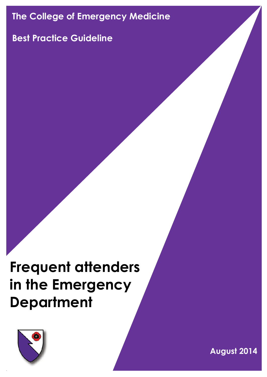# **The College of Emergency Medicine**

# **Best Practice Guideline**

# **Frequent attenders in the Emergency Department**



**August 2014**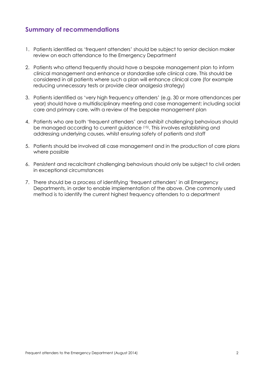# **Summary of recommendations**

- 1. Patients identified as 'frequent attenders' should be subject to senior decision maker review on each attendance to the Emergency Department
- 2. Patients who attend frequently should have a bespoke management plan to inform clinical management and enhance or standardise safe clinical care. This should be considered in all patients where such a plan will enhance clinical care (for example reducing unnecessary tests or provide clear analgesia strategy)
- 3. Patients identified as 'very high frequency attenders' (e.g. 30 or more attendances per year) should have a multidisciplinary meeting and case management; including social care and primary care, with a review of the bespoke management plan
- 4. Patients who are both 'frequent attenders' and exhibit challenging behaviours should be managed according to current guidance (15). This involves establishing and addressing underlying causes, whilst ensuring safety of patients and staff
- 5. Patients should be involved all case management and in the production of care plans where possible
- 6. Persistent and recalcitrant challenging behaviours should only be subject to civil orders in exceptional circumstances
- 7. There should be a process of identifying 'frequent attenders' in all Emergency Departments, in order to enable implementation of the above. One commonly used method is to identify the current highest frequency attenders to a department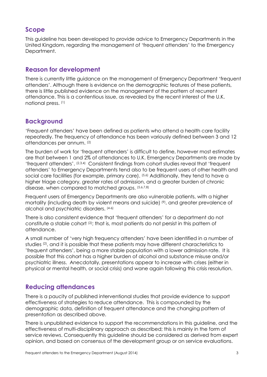# **Scope**

This guideline has been developed to provide advice to Emergency Departments in the United Kingdom, regarding the management of 'frequent attenders' to the Emergency Department.

## **Reason for development**

There is currently little guidance on the management of Emergency Department 'frequent attenders'. Although there is evidence on the demographic features of these patients, there is little published evidence on the management of the pattern of recurrent attendance. This is a contentious issue, as revealed by the recent interest of the U.K. national press. (1)

# **Background**

'Frequent attenders' have been defined as patients who attend a health care facility repeatedly. The frequency of attendance has been variously defined between 3 and 12 attendances per annum. (2)

The burden of work for 'frequent attenders' is difficult to define, however most estimates are that between 1 and 2% of attendances to U.K. Emergency Departments are made by 'frequent attenders'. (2,3,4) Consistent findings from cohort studies reveal that 'frequent attenders' to Emergency Departments tend also to be frequent users of other health and social care facilities (for example, primary care). <sup>(5,6)</sup> Additionally, they tend to have a higher triage category, greater rates of admission, and a greater burden of chronic disease, when compared to matched groups. (5,6,7,8)

Frequent users of Emergency Departments are also vulnerable patients, with a higher mortality (including death by violent means and suicide)<sup>(9)</sup>, and greater prevalence of alcohol and psychiatric disorders. (4-6)

There is also consistent evidence that 'frequent attenders' for a department do not constitute a stable cohort (2); that is, most patients do not persist in this pattern of attendance.

A small number of 'very high frequency attenders' have been identified in a number of studies (2), and it is possible that these patients may have different characteristics to 'frequent attenders', being a more stable population with a lower admission rate. It is possible that this cohort has a higher burden of alcohol and substance misuse and/or psychiatric illness. Anecdotally, presentations appear to increase with crises (either in physical or mental health, or social crisis) and wane again following this crisis resolution.

# **Reducing attendances**

There is a paucity of published interventional studies that provide evidence to support effectiveness of strategies to reduce attendance. This is compounded by the demographic data, definition of frequent attendance and the changing pattern of presentation as described above.

There is unpublished evidence to support the recommendations in this guideline, and the effectiveness of multi-disciplinary approach as described; this is mainly in the form of service reviews. Consequently this guideline should be considered as derived from expert opinion, and based on consensus of the development group or on service evaluations.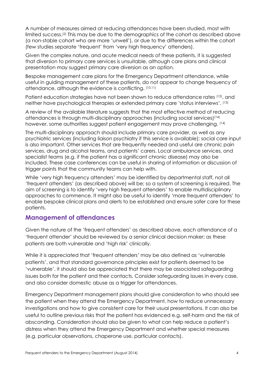A number of measures aimed at reducing attendances have been studied, most with limited success.(2) This may be due to the demographics of the cohort as described above (a non-stable cohort who are more 'unwell'), or due to the differences within the cohort (few studies separate 'frequent' from 'very high frequency' attenders).

Given the complex nature, and acute medical needs of these patients, it is suggested that diversion to primary care services is unsuitable, although care plans and clinical presentation may suggest primary care diversion as an option.

Bespoke management care plans for the Emergency Department attendance, while useful in guiding management of these patients, do not appear to change frequency of attendance, although the evidence is conflicting. (10,11)

Patient education strategies have not been shown to reduce attendance rates (12), and neither have psychological therapies or extended primary care 'status interviews'. (13)

A review of the available literature suggests that the most effective method of reducing attendances is through multi-disciplinary approaches (including social services)(14) however, some authorities suggest patient engagement may prove challenging. <sup>(14)</sup>

The multi-disciplinary approach should include primary care provider, as well as any psychiatric services (including liaison psychiatry if this service is available); social care input is also important. Other services that are frequently needed and useful are chronic pain services, drug and alcohol teams, and patients' carers. Local ambulance services, and specialist teams (e.g. if the patient has a significant chronic disease) may also be included. These case conferences can be useful in sharing of information or discussion of trigger points that the community teams can help with.

While 'very high frequency attenders' may be identified by departmental staff, not all 'frequent attenders' (as described above) will be; so a system of screening is required. The aim of screening is to identify 'very high frequent attenders' to enable multidisciplinary approaches to commence. It might also be useful to identify 'more frequent attenders' to enable bespoke clinical plans and alerts to be established and ensure safer care for these patients.

### **Management of attendances**

Given the nature of the 'frequent attenders' as described above, each attendance of a 'frequent attender' should be reviewed by a senior clinical decision maker; as these patients are both vulnerable and 'high risk' clinically.

While it is appreciated that 'frequent attenders' may be also defined as 'vulnerable patients', and that standard governance principles exist for patients deemed to be 'vulnerable', it should also be appreciated that there may be associated safeguarding issues both for the patient and their contacts. Consider safeguarding issues in every case, and also consider domestic abuse as a trigger for attendances.

Emergency Department management plans should give consideration to who should see the patient when they attend the Emergency Department, how to reduce unnecessary investigations and how to give consistent care for their usual presentations. It can also be useful to outline previous risks that the patient has evidenced e.g. self-harm and the risk of absconding. Consideration should also be given to what can help reduce a patient's distress when they attend the Emergency Department and whether special measures (e.g. particular observations, chaperone use, particular contacts).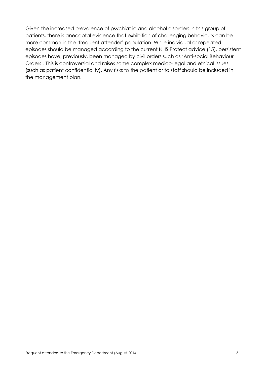Given the increased prevalence of psychiatric and alcohol disorders in this group of patients, there is anecdotal evidence that exhibition of challenging behaviours can be more common in the 'frequent attender' population. While individual or repeated episodes should be managed according to the current NHS Protect advice (15), persistent episodes have, previously, been managed by civil orders such as 'Anti-social Behaviour Orders'. This is controversial and raises some complex medico-legal and ethical issues (such as patient confidentiality). Any risks to the patient or to staff should be included in the management plan.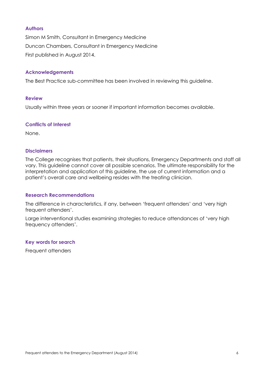#### **Authors**

Simon M Smith, Consultant in Emergency Medicine Duncan Chambers, Consultant in Emergency Medicine First published in August 2014.

#### **Acknowledgements**

The Best Practice sub-committee has been involved in reviewing this guideline.

#### **Review**

Usually within three years or sooner if important information becomes available.

#### **Conflicts of Interest**

None.

#### **Disclaimers**

The College recognises that patients, their situations, Emergency Departments and staff all vary. This guideline cannot cover all possible scenarios. The ultimate responsibility for the interpretation and application of this guideline, the use of current information and a patient's overall care and wellbeing resides with the treating clinician.

#### **Research Recommendations**

The difference in characteristics, if any, between 'frequent attenders' and 'very high frequent attenders'.

Large interventional studies examining strategies to reduce attendances of 'very high frequency attenders'.

#### **Key words for search**

Frequent attenders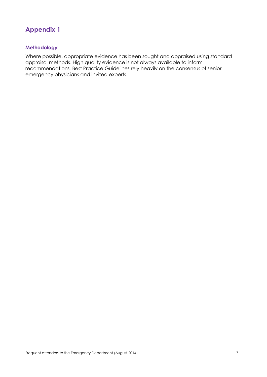# **Appendix 1**

#### **Methodology**

Where possible, appropriate evidence has been sought and appraised using standard appraisal methods. High quality evidence is not always available to inform recommendations. Best Practice Guidelines rely heavily on the consensus of senior emergency physicians and invited experts.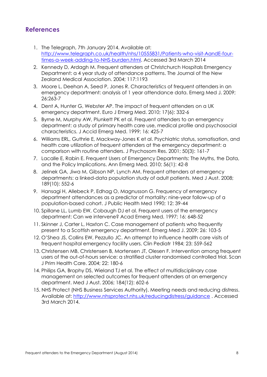# **References**

- 1. The Telegraph, 7th January 2014. Available at: [http://www.telegraph.co.uk/health/nhs/10555831/Patients-who-visit-AandE-four](http://www.telegraph.co.uk/health/nhs/10555831/Patients-who-visit-AandE-four-times-a-week-adding-to-NHS-burden.html)[times-a-week-adding-to-NHS-burden.html.](http://www.telegraph.co.uk/health/nhs/10555831/Patients-who-visit-AandE-four-times-a-week-adding-to-NHS-burden.html) Accessed 3rd March 2014
- 2. Kennedy D, Ardagh M, Frequent attenders at Christchurch Hospitals Emergency Department: a 4 year study of attendance patterns. The Journal of the New Zealand Medical Association. 2004; 117:1193
- 3. Moore L, Deehan A, Seed P, Jones R. Characteristics of frequent attenders in an emergency department: analysis of 1 year attendance data. Emerg Med J. 2009; 26:263-7
- 4. Dent A, Hunter G, Webster AP. The impact of frequent attenders on a UK emergency department. Euro J Emerg Med. 2010; 17(6): 332-6
- 5. Byrne M, Murphy AW, Plunkett PK et al. Frequent attenders to an emergency department: a study of primary health care use, medical profile and psychosocial characteristics. J Accid Emerg Med. 1999; 16: 425-7
- 6. Williams ERL, Guthrie E, Mackway-Jones K et al. Psychiatric status, somatisation, and health care utilization of frequent attenders at the emergency department: a comparison with routine attenders. J Psychosom Res. 2001; 50(3): 161-7
- 7. Lacalle E, Rabin E. Frequent Users of Emergency Departments: The Myths, the Data, and the Policy Implications. Ann Emerg Med. 2010; 56(1): 42-8
- 8. Jelinek GA, Jiwa M, Gibson NP, Lynch AM. Frequent attenders at emergency departments: a linked-data population study of adult patients. Med J Aust. 2008; 189(10): 552-6
- 9. Hansagi H, Allebeck P, Edhag O, Magnusson G. Frequency of emergency department attendances as a predictor of mortality: nine-year follow-up of a population-based cohort. J Public Health Med 1990; 12: 39-44
- 10. Spillane LL, Lumb EW, Cobaugh DJ et al. Frequent users of the emergency department: Can we intervene? Acad Emerg Med. 1997; 16: 648-52
- 11. Skinner J, Carter L, Haxton C. Case management of patients who frequently present to a Scottish emergency department. Emerg Med J. 2009; 26: 103-5
- 12. O'Shea JS, Collins EW, Pezzullo JC. An attempt to influence health care visits of frequent hospital emergency facility users. Clin Pediatr 1984; 23: 559-562
- 13. Christensen MB, Christensen B, Mortensen JT, Olesen F. Intervention among frequent users of the out-of-hours service: a stratified cluster randomised controlled trial. Scan J Prim Health Care. 2004; 22: 180-6
- 14. Philips GA, Brophy DS, Wieland TJ et al. The effect of multidisciplinary case management on selected outcomes for frequent attenders at an emergency department. Med J Aust. 2006; 184(12): 602-6
- 15. NHS Protect (NHS Business Services Authority). Meeting needs and reducing distress. Available at:<http://www.nhsprotect.nhs.uk/reducingdistress/guidance> . Accessed 3rd March 2014.